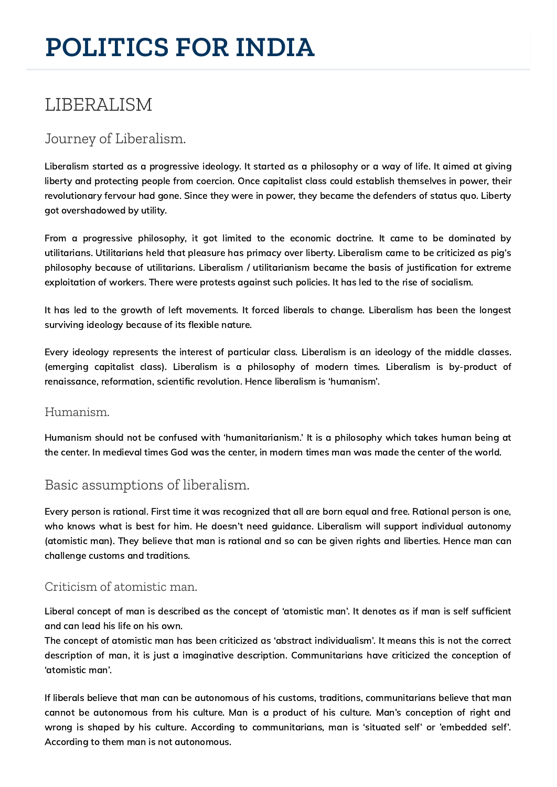# **POLITICS FOR INDIA**

## LIBERALISM

## Journey of Liberalism.

Liberalism started as a progressive ideology. It started as a philosophy or a way of life. It aimed at giving liberty and protecting people from coercion. Once capitalist class could establish themselves in power, their revolutionary fervour had gone. Since they were in power, they became the defenders of status quo. Liberty got overshadowed by utility.

From a progressive philosophy, it got limited to the economic doctrine. It came to be dominated by utilitarians. Utilitarians held that pleasure has primacy over liberty. Liberalism came to be criticized as pig's philosophy because of utilitarians. Liberalism / utilitarianism became the basis of justification for extreme exploitation of workers. There were protests against such policies. It has led to the rise of socialism.

It has led to the growth of left movements. It forced liberals to change. Liberalism has been the longest surviving ideology because of its flexible nature.

Every ideology represents the interest of particular class. Liberalism is an ideology of the middle classes. (emerging capitalist class). Liberalism is a philosophy of modern times. Liberalism is by-product of renaissance, reformation, scientific revolution. Hence liberalism is 'humanism'.

#### Humanism.

Humanism should not be confused with 'humanitarianism.' It is a philosophy which takes human being at the center. In medieval times God was the center, in modern times man was made the center of the world.

## Basic assumptions of liberalism.

Every person is rational. First time it was recognized that all are born equal and free. Rational person is one, who knows what is best for him. He doesn't need guidance. Liberalism will support individual autonomy (atomistic man). They believe that man is rational and so can be given rights and liberties. Hence man can challenge customs and traditions.

#### Criticism of atomistic man.

Liberal concept of man is described as the concept of 'atomistic man'. It denotes as if man is self sufficient and can lead his life on his own.

The concept of atomistic man has been criticized as 'abstract individualism'. It means this is not the correct description of man, it is just a imaginative description. Communitarians have criticized the conception of 'atomistic man'.

If liberals believe that man can be autonomous of his customs, traditions, communitarians believe that man cannot be autonomous from his culture. Man is a product of his culture. Man's conception of right and wrong is shaped by his culture. According to communitarians, man is 'situated self' or 'embedded self'. According to them man is not autonomous.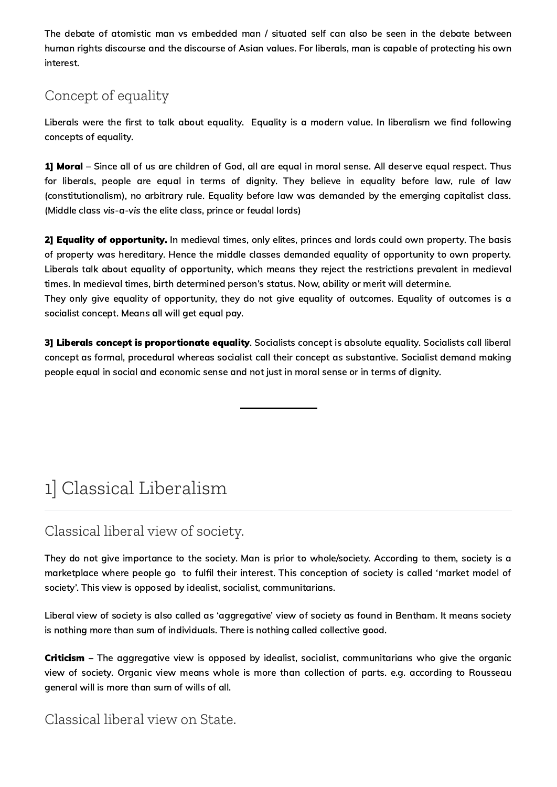The debate of atomistic man vs embedded man / situated self can also be seen in the debate between human rights discourse and the discourse of Asian values. For liberals, man is capable of protecting his own interest.

## Concept of equality

Liberals were the first to talk about equality. Equality is a modern value. In liberalism we find following concepts of equality.

1] Moral – Since all of us are children of God, all are equal in moral sense. All deserve equal respect. Thus for liberals, people are equal in terms of dignity. They believe in equality before law, rule of law (constitutionalism), no arbitrary rule. Equality before law was demanded by the emerging capitalist class. (Middle class vis-a-vis the elite class, prince or feudal lords)

2] Equality of opportunity. In medieval times, only elites, princes and lords could own property. The basis of property was hereditary. Hence the middle classes demanded equality of opportunity to own property. Liberals talk about equality of opportunity, which means they reject the restrictions prevalent in medieval times. In medieval times, birth determined person's status. Now, ability or merit will determine. They only give equality of opportunity, they do not give equality of outcomes. Equality of outcomes is a socialist concept. Means all will get equal pay.

3] Liberals concept is proportionate equality. Socialists concept is absolute equality. Socialists call liberal concept as formal, procedural whereas socialist call their concept as substantive. Socialist demand making people equal in social and economic sense and not just in moral sense or in terms of dignity.

## 1] Classical Liberalism

## Classical liberal view of society.

They do not give importance to the society. Man is prior to whole/society. According to them, society is a marketplace where people go to fulfil their interest. This conception of society is called 'market model of society'. This view is opposed by idealist, socialist, communitarians.

Liberal view of society is also called as 'aggregative' view of society as found in Bentham. It means society is nothing more than sum of individuals. There is nothing called collective good.

**Criticism** – The aggregative view is opposed by idealist, socialist, communitarians who give the organic view of society. Organic view means whole is more than collection of parts. e.g. according to Rousseau general will is more than sum of wills of all.

### Classical liberal view on State.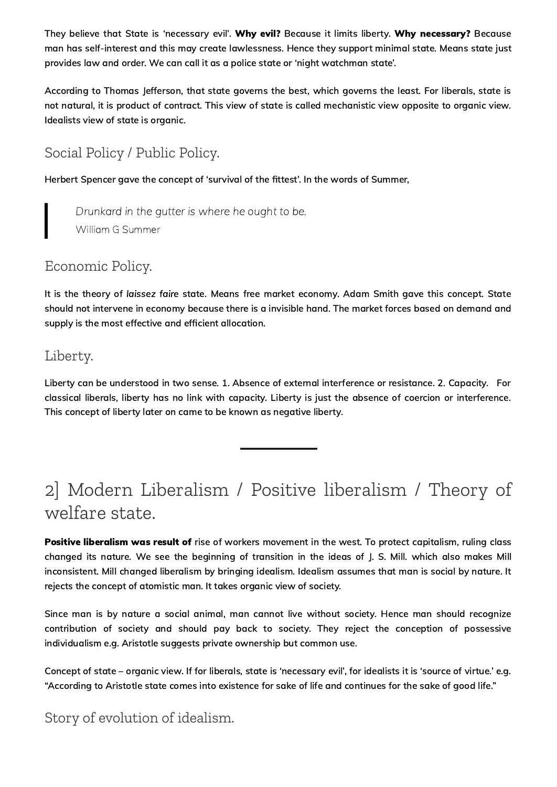They believe that State is 'necessary evil'. Why evil? Because it limits liberty. Why necessary? Because man has self-interest and this may create lawlessness. Hence they support minimal state. Means state just provides law and order. We can call it as a police state or 'night watchman state'.

According to Thomas Jefferson, that state governs the best, which governs the least. For liberals, state is not natural, it is product of contract. This view of state is called mechanistic view opposite to organic view. Idealists view of state is organic.

## Social Policy / Public Policy.

Herbert Spencer gave the concept of 'survival of the fittest'. In the words of Summer,

Drunkard in the gutter is where he ought to be. William G Summer

Economic Policy.

It is the theory of laissez faire state. Means free market economy. Adam Smith gave this concept. State should not intervene in economy because there is a invisible hand. The market forces based on demand and supply is the most effective and efficient allocation.

#### Liberty.

Liberty can be understood in two sense. 1. Absence of external interference or resistance. 2. Capacity. For classical liberals, liberty has no link with capacity. Liberty is just the absence of coercion or interference. This concept of liberty later on came to be known as negative liberty.

## 2] Modern Liberalism / Positive liberalism / Theory of welfare state.

Positive liberalism was result of rise of workers movement in the west. To protect capitalism, ruling class changed its nature. We see the beginning of transition in the ideas of J. S. Mill. which also makes Mill inconsistent. Mill changed liberalism by bringing idealism. Idealism assumes that man is social by nature. It rejects the concept of atomistic man. It takes organic view of society.

Since man is by nature a social animal, man cannot live without society. Hence man should recognize contribution of society and should pay back to society. They reject the conception of possessive individualism e.g. Aristotle suggests private ownership but common use.

Concept of state – organic view. If for liberals, state is 'necessary evil', for idealists it is 'source of virtue.' e.g. "According to Aristotle state comes into existence for sake of life and continues for the sake of good life."

## Story of evolution of idealism.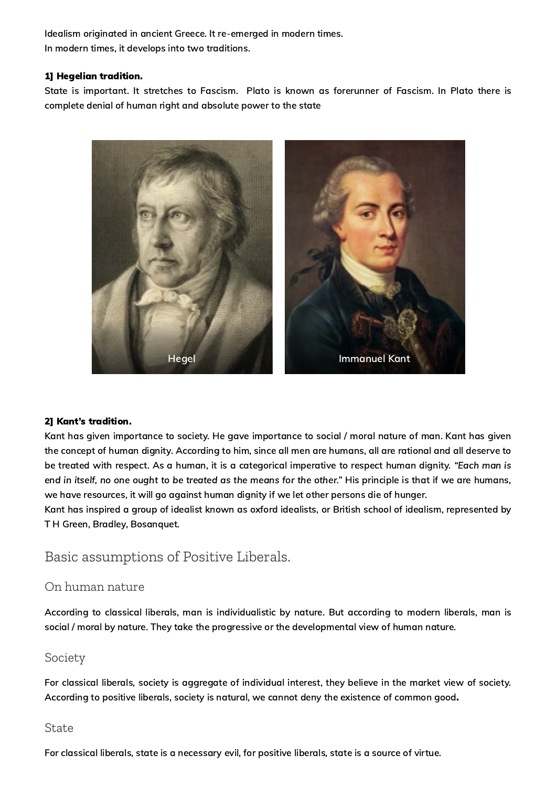Idealism originated in ancient Greece. It re-emerged in modern times. In modern times, it develops into two traditions.

#### 1] Hegelian tradition.

State is important. It stretches to Fascism. Plato is known as forerunner of Fascism. In Plato there is complete denial of human right and absolute power to the state



#### 2] Kant's tradition.

Kant has given importance to society. He gave importance to social / moral nature of man. Kant has given the concept of human dignity. According to him, since all men are humans, all are rational and all deserve to be treated with respect. As a human, it is a categorical imperative to respect human dignity. "Each man is end in itself, no one ought to be treated as the means for the other." His principle is that if we are humans, we have resources, it will go against human dignity if we let other persons die of hunger.

Kant has inspired a group of idealist known as oxford idealists, or British school of idealism, represented by T H Green, Bradley, Bosanquet.

#### Basic assumptions of Positive Liberals.

#### On human nature

According to classical liberals, man is individualistic by nature. But according to modern liberals, man is social / moral by nature. They take the progressive or the developmental view of human nature.

#### Society

For classical liberals, society is aggregate of individual interest, they believe in the market view of society. According to positive liberals, society is natural, we cannot deny the existence of common good.

#### **State**

For classical liberals, state is a necessary evil, for positive liberals, state is a source of virtue.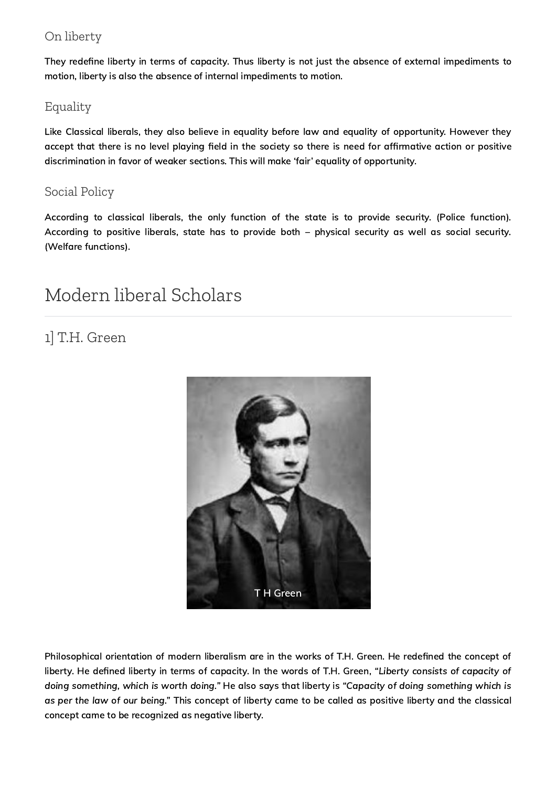#### On liberty

They redefine liberty in terms of capacity. Thus liberty is not just the absence of external impediments to motion, liberty is also the absence of internal impediments to motion.

#### Equality

Like Classical liberals, they also believe in equality before law and equality of opportunity. However they accept that there is no level playing field in the society so there is need for affirmative action or positive discrimination in favor of weaker sections. This will make 'fair' equality of opportunity.

#### Social Policy

According to classical liberals, the only function of the state is to provide security. (Police function). According to positive liberals, state has to provide both – physical security as well as social security. (Welfare functions).

## Modern liberal Scholars

## 1] T.H. Green



Philosophical orientation of modern liberalism are in the works of T.H. Green. He redefined the concept of liberty. He defined liberty in terms of capacity. In the words of T.H. Green, "Liberty consists of capacity of doing something, which is worth doing." He also says that liberty is "Capacity of doing something which is as per the law of our being." This concept of liberty came to be called as positive liberty and the classical concept came to be recognized as negative liberty.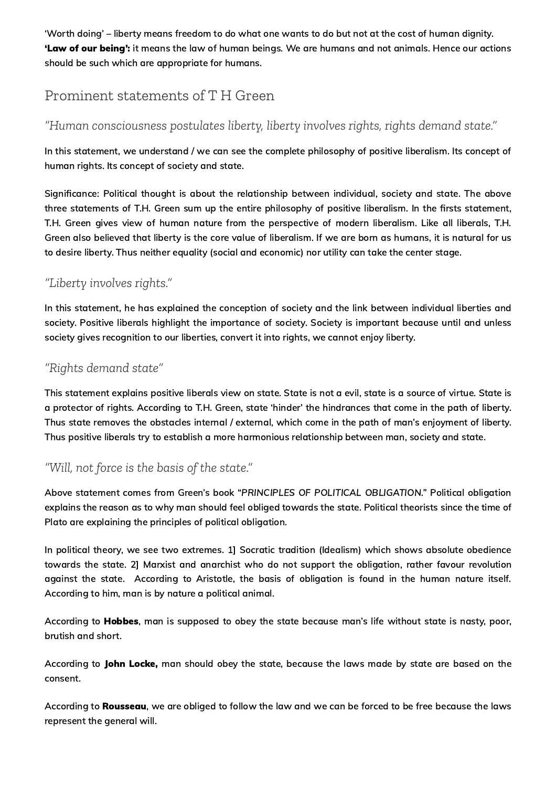'Worth doing' – liberty means freedom to do what one wants to do but not at the cost of human dignity. 'Law of our being': it means the law of human beings. We are humans and not animals. Hence our actions should be such which are appropriate for humans.

### Prominent statements of T H Green

#### *"Human consciousness postulates liberty, liberty involves rights, rights demand state."*

In this statement, we understand / we can see the complete philosophy of positive liberalism. Its concept of human rights. Its concept of society and state.

Significance: Political thought is about the relationship between individual, society and state. The above three statements of T.H. Green sum up the entire philosophy of positive liberalism. In the firsts statement, T.H. Green gives view of human nature from the perspective of modern liberalism. Like all liberals, T.H. Green also believed that liberty is the core value of liberalism. If we are born as humans, it is natural for us to desire liberty. Thus neither equality (social and economic) nor utility can take the center stage.

#### *"Liberty involves rights."*

In this statement, he has explained the conception of society and the link between individual liberties and society. Positive liberals highlight the importance of society. Society is important because until and unless society gives recognition to our liberties, convert it into rights, we cannot enjoy liberty.

#### *"Rights demand state"*

This statement explains positive liberals view on state. State is not a evil, state is a source of virtue. State is a protector of rights. According to T.H. Green, state 'hinder' the hindrances that come in the path of liberty. Thus state removes the obstacles internal / external, which come in the path of man's enjoyment of liberty. Thus positive liberals try to establish a more harmonious relationship between man, society and state.

#### *"Will, not force is the basis of the state."*

Above statement comes from Green's book "PRINCIPLES OF POLITICAL OBLIGATION." Political obligation explains the reason as to why man should feel obliged towards the state. Political theorists since the time of Plato are explaining the principles of political obligation.

In political theory, we see two extremes. 1] Socratic tradition (Idealism) which shows absolute obedience towards the state. 2] Marxist and anarchist who do not support the obligation, rather favour revolution against the state. According to Aristotle, the basis of obligation is found in the human nature itself. According to him, man is by nature a political animal.

According to Hobbes, man is supposed to obey the state because man's life without state is nasty, poor, brutish and short.

According to John Locke, man should obey the state, because the laws made by state are based on the consent.

According to Rousseau, we are obliged to follow the law and we can be forced to be free because the laws represent the general will.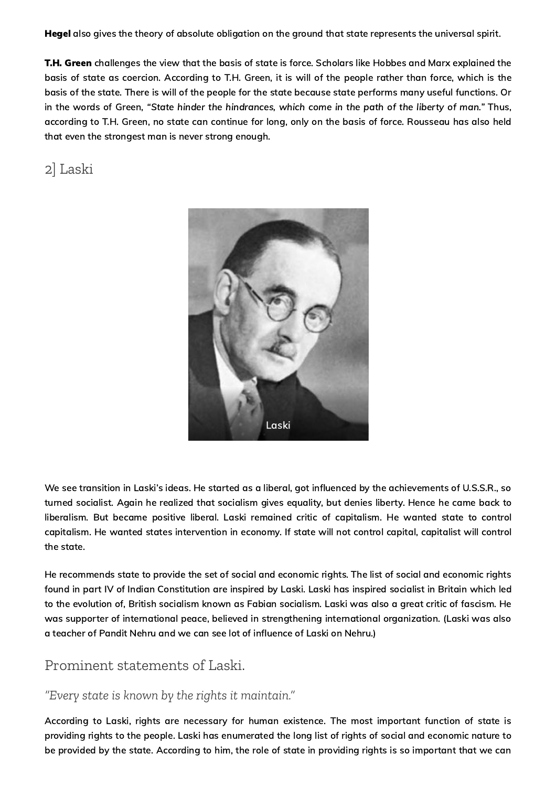**Hegel** also gives the theory of absolute obligation on the ground that state represents the universal spirit.

T.H. Green challenges the view that the basis of state is force. Scholars like Hobbes and Marx explained the basis of state as coercion. According to T.H. Green, it is will of the people rather than force, which is the basis of the state. There is will of the people for the state because state performs many useful functions. Or in the words of Green, "State hinder the hindrances, which come in the path of the liberty of man." Thus, according to T.H. Green, no state can continue for long, only on the basis of force. Rousseau has also held that even the strongest man is never strong enough.

2] Laski



We see transition in Laski's ideas. He started as a liberal, got influenced by the achievements of U.S.S.R., so turned socialist. Again he realized that socialism gives equality, but denies liberty. Hence he came back to liberalism. But became positive liberal. Laski remained critic of capitalism. He wanted state to control capitalism. He wanted states intervention in economy. If state will not control capital, capitalist will control the state.

He recommends state to provide the set of social and economic rights. The list of social and economic rights found in part IV of Indian Constitution are inspired by Laski. Laski has inspired socialist in Britain which led to the evolution of, British socialism known as Fabian socialism. Laski was also a great critic of fascism. He was supporter of international peace, believed in strengthening international organization. (Laski was also a teacher of Pandit Nehru and we can see lot of influence of Laski on Nehru.)

#### Prominent statements of Laski.

#### *"Every state is known by the rights it maintain."*

According to Laski, rights are necessary for human existence. The most important function of state is providing rights to the people. Laski has enumerated the long list of rights of social and economic nature to be provided by the state. According to him, the role of state in providing rights is so important that we can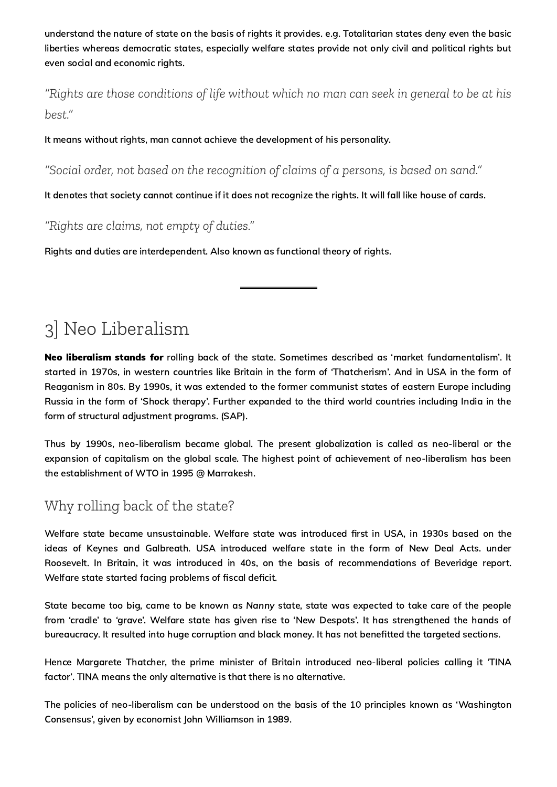understand the nature of state on the basis of rights it provides. e.g. Totalitarian states deny even the basic liberties whereas democratic states, especially welfare states provide not only civil and political rights but even social and economic rights.

*"Rights are those conditions of life without which no man can seek in general to be at his best."*

It means without rights, man cannot achieve the development of his personality.

*"Social order, not based on the recognition of claims of a persons, is based on sand."*

It denotes that society cannot continue if it does not recognize the rights. It will fall like house of cards.

*"Rights are claims, not empty of duties."*

Rights and duties are interdependent. Also known as functional theory of rights.

## 3] Neo Liberalism

Neo liberalism stands for rolling back of the state. Sometimes described as 'market fundamentalism'. It started in 1970s, in western countries like Britain in the form of 'Thatcherism'. And in USA in the form of Reaganism in 80s. By 1990s, it was extended to the former communist states of eastern Europe including Russia in the form of 'Shock therapy'. Further expanded to the third world countries including India in the form of structural adjustment programs. (SAP).

Thus by 1990s, neo-liberalism became global. The present globalization is called as neo-liberal or the expansion of capitalism on the global scale. The highest point of achievement of neo-liberalism has been the establishment of WTO in 1995 @ Marrakesh.

### Why rolling back of the state?

Welfare state became unsustainable. Welfare state was introduced first in USA, in 1930s based on the ideas of Keynes and Galbreath. USA introduced welfare state in the form of New Deal Acts. under Roosevelt. In Britain, it was introduced in 40s, on the basis of recommendations of Beveridge report. Welfare state started facing problems of fiscal deficit.

State became too big, came to be known as Nanny state, state was expected to take care of the people from 'cradle' to 'grave'. Welfare state has given rise to 'New Despots'. It has strengthened the hands of bureaucracy. It resulted into huge corruption and black money. It has not benefitted the targeted sections.

Hence Margarete Thatcher, the prime minister of Britain introduced neo-liberal policies calling it 'TINA factor'. TINA means the only alternative is that there is no alternative.

The policies of neo-liberalism can be understood on the basis of the 10 principles known as 'Washington Consensus', given by economist John Williamson in 1989.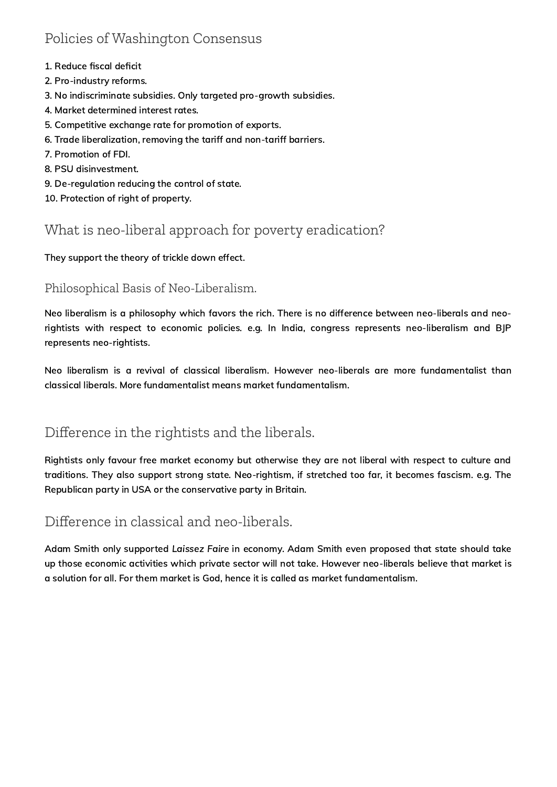## Policies of Washington Consensus

- 1. Reduce fiscal deficit
- 2. Pro-industry reforms.
- 3. No indiscriminate subsidies. Only targeted pro-growth subsidies.
- 4. Market determined interest rates.
- 5. Competitive exchange rate for promotion of exports.
- 6. Trade liberalization, removing the tariff and non-tariff barriers.
- 7. Promotion of FDI.
- 8. PSU disinvestment.
- 9. De-regulation reducing the control of state.
- 10. Protection of right of property.

### What is neo-liberal approach for poverty eradication?

They support the theory of trickle down effect.

#### Philosophical Basis of Neo-Liberalism.

Neo liberalism is a philosophy which favors the rich. There is no difference between neo-liberals and neorightists with respect to economic policies. e.g. In India, congress represents neo-liberalism and BJP represents neo-rightists.

Neo liberalism is a revival of classical liberalism. However neo-liberals are more fundamentalist than classical liberals. More fundamentalist means market fundamentalism.

## Difference in the rightists and the liberals.

Rightists only favour free market economy but otherwise they are not liberal with respect to culture and traditions. They also support strong state. Neo-rightism, if stretched too far, it becomes fascism. e.g. The Republican party in USA or the conservative party in Britain.

### Difference in classical and neo-liberals.

Adam Smith only supported Laissez Faire in economy. Adam Smith even proposed that state should take up those economic activities which private sector will not take. However neo-liberals believe that market is a solution for all. For them market is God, hence it is called as market fundamentalism.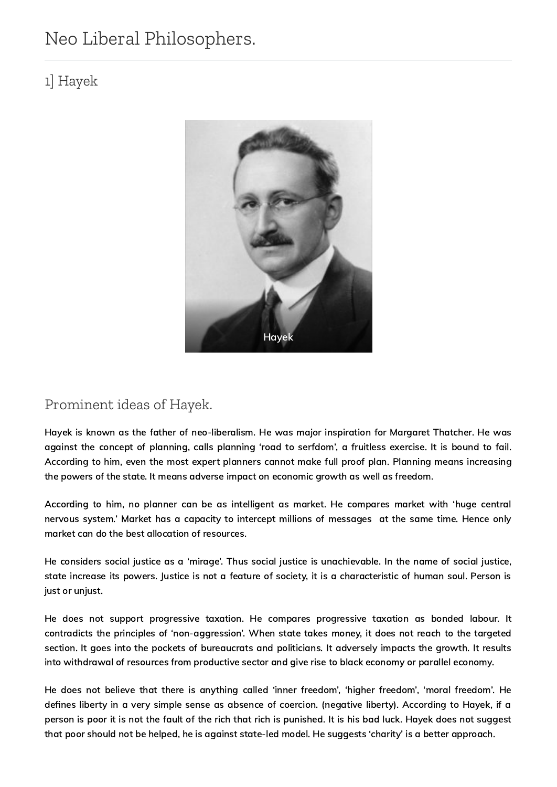## Neo Liberal Philosophers.

## 1] Hayek



## Prominent ideas of Hayek.

Hayek is known as the father of neo-liberalism. He was major inspiration for Margaret Thatcher. He was against the concept of planning, calls planning 'road to serfdom', a fruitless exercise. It is bound to fail. According to him, even the most expert planners cannot make full proof plan. Planning means increasing the powers of the state. It means adverse impact on economic growth as well as freedom.

According to him, no planner can be as intelligent as market. He compares market with 'huge central nervous system.' Market has a capacity to intercept millions of messages at the same time. Hence only market can do the best allocation of resources.

He considers social justice as a 'mirage'. Thus social justice is unachievable. In the name of social justice, state increase its powers. Justice is not a feature of society, it is a characteristic of human soul. Person is just or unjust.

He does not support progressive taxation. He compares progressive taxation as bonded labour. It contradicts the principles of 'non-aggression'. When state takes money, it does not reach to the targeted section. It goes into the pockets of bureaucrats and politicians. It adversely impacts the growth. It results into withdrawal of resources from productive sector and give rise to black economy or parallel economy.

He does not believe that there is anything called 'inner freedom', 'higher freedom', 'moral freedom'. He defines liberty in a very simple sense as absence of coercion. (negative liberty). According to Hayek, if a person is poor it is not the fault of the rich that rich is punished. It is his bad luck. Hayek does not suggest that poor should not be helped, he is against state-led model. He suggests 'charity' is a better approach.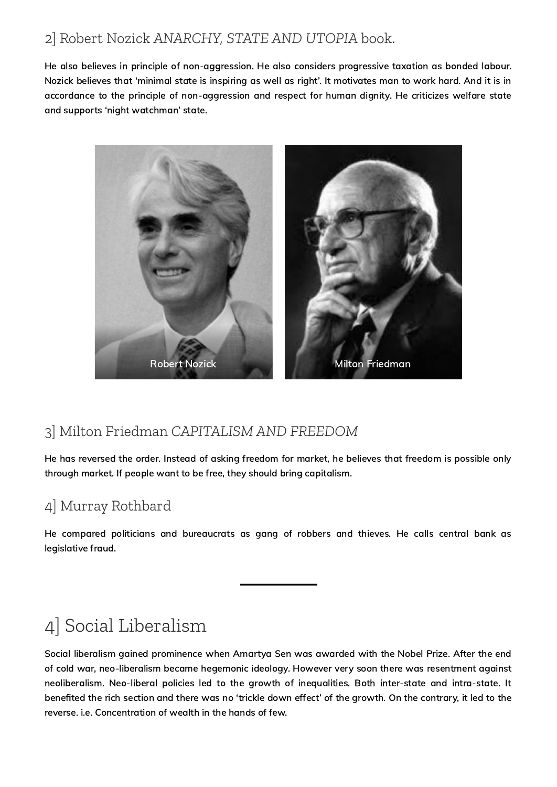## 2] Robert Nozick *ANARCHY, STATE AND UTOPIA* book.

He also believes in principle of non-aggression. He also considers progressive taxation as bonded labour. Nozick believes that 'minimal state is inspiring as well as right'. It motivates man to work hard. And it is in accordance to the principle of non-aggression and respect for human dignity. He criticizes welfare state and supports 'night watchman' state.



## 3] Milton Friedman *CAPITALISM AND FREEDOM*

He has reversed the order. Instead of asking freedom for market, he believes that freedom is possible only through market. If people want to be free, they should bring capitalism.

## 4] Murray Rothbard

He compared politicians and bureaucrats as gang of robbers and thieves. He calls central bank as legislative fraud.

## 4] Social Liberalism

Social liberalism gained prominence when Amartya Sen was awarded with the Nobel Prize. After the end of cold war, neo-liberalism became hegemonic ideology. However very soon there was resentment against neoliberalism. Neo-liberal policies led to the growth of inequalities. Both inter-state and intra-state. It benefited the rich section and there was no 'trickle down effect' of the growth. On the contrary, it led to the reverse. i.e. Concentration of wealth in the hands of few.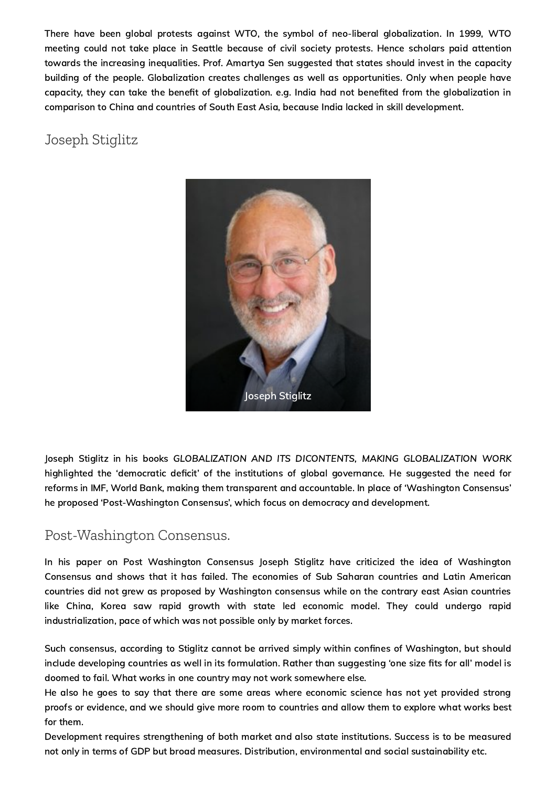There have been global protests against WTO, the symbol of neo-liberal globalization. In 1999, WTO meeting could not take place in Seattle because of civil society protests. Hence scholars paid attention towards the increasing inequalities. Prof. Amartya Sen suggested that states should invest in the capacity building of the people. Globalization creates challenges as well as opportunities. Only when people have capacity, they can take the benefit of globalization. e.g. India had not benefited from the globalization in comparison to China and countries of South East Asia, because India lacked in skill development.

## Joseph Stiglitz



Joseph Stiglitz in his books GLOBALIZATION AND ITS DICONTENTS, MAKING GLOBALIZATION WORK highlighted the 'democratic deficit' of the institutions of global governance. He suggested the need for reforms in IMF, World Bank, making them transparent and accountable. In place of 'Washington Consensus' he proposed 'Post-Washington Consensus', which focus on democracy and development.

#### Post-Washington Consensus.

In his paper on Post Washington Consensus Joseph Stiglitz have criticized the idea of Washington Consensus and shows that it has failed. The economies of Sub Saharan countries and Latin American countries did not grew as proposed by Washington consensus while on the contrary east Asian countries like China, Korea saw rapid growth with state led economic model. They could undergo rapid industrialization, pace of which was not possible only by market forces.

Such consensus, according to Stiglitz cannot be arrived simply within confines of Washington, but should include developing countries as well in its formulation. Rather than suggesting 'one size fits for all' model is doomed to fail. What works in one country may not work somewhere else.

He also he goes to say that there are some areas where economic science has not yet provided strong proofs or evidence, and we should give more room to countries and allow them to explore what works best for them.

Development requires strengthening of both market and also state institutions. Success is to be measured not only in terms of GDP but broad measures. Distribution, environmental and social sustainability etc.